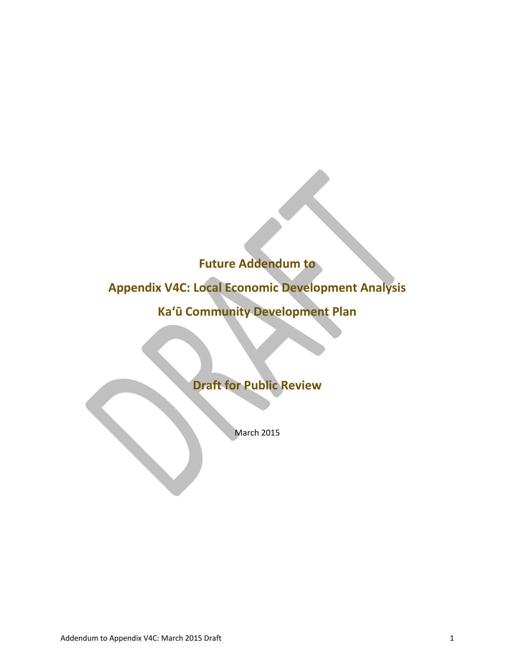## **Future Addendum to**

## **Appendix V4C: Local Economic Development Analysis**

**Ka'ū Community Development Plan**

**Draft for Public Review**

March 2015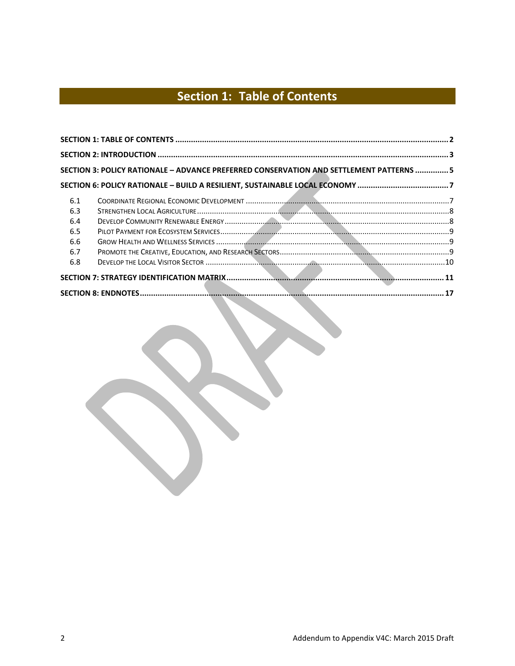# Section 1: Table of Contents

<span id="page-1-0"></span>

|     | SECTION 3: POLICY RATIONALE - ADVANCE PREFERRED CONSERVATION AND SETTLEMENT PATTERNS  5 |  |
|-----|-----------------------------------------------------------------------------------------|--|
|     | SECTION 6: POLICY RATIONALE - BUILD A RESILIENT, SUSTAINABLE LOCAL ECONOMY 7            |  |
| 6.1 |                                                                                         |  |
| 6.3 |                                                                                         |  |
| 6.4 |                                                                                         |  |
| 6.5 |                                                                                         |  |
| 6.6 |                                                                                         |  |
| 6.7 |                                                                                         |  |
| 6.8 |                                                                                         |  |
|     |                                                                                         |  |
|     |                                                                                         |  |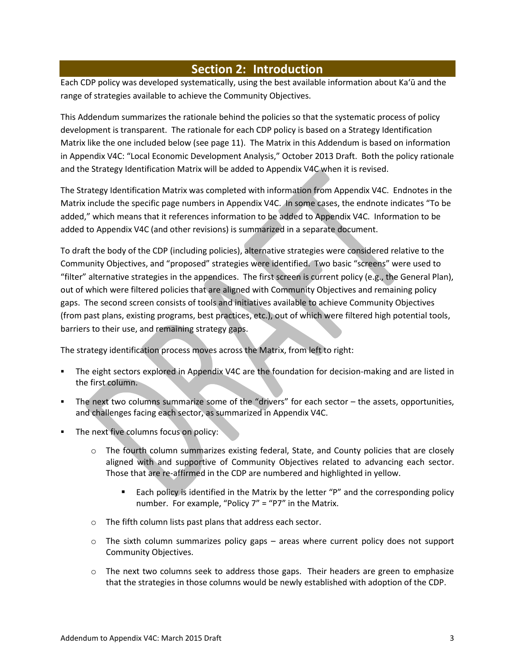### **Section 2: Introduction**

<span id="page-2-0"></span>Each CDP policy was developed systematically, using the best available information about Ka'ū and the range of strategies available to achieve the Community Objectives.

This Addendum summarizes the rationale behind the policies so that the systematic process of policy development is transparent. The rationale for each CDP policy is based on a Strategy Identification Matrix like the one included below (see page [11\)](#page-10-0). The Matrix in this Addendum is based on information in Appendix V4C: "Local Economic Development Analysis," October 2013 Draft. Both the policy rationale and the Strategy Identification Matrix will be added to Appendix V4C when it is revised.

The Strategy Identification Matrix was completed with information from Appendix V4C. Endnotes in the Matrix include the specific page numbers in Appendix V4C. In some cases, the endnote indicates "To be added," which means that it references information to be added to Appendix V4C. Information to be added to Appendix V4C (and other revisions) is summarized in a separate document.

To draft the body of the CDP (including policies), alternative strategies were considered relative to the Community Objectives, and "proposed" strategies were identified. Two basic "screens" were used to "filter" alternative strategies in the appendices. The first screen is current policy (e.g., the General Plan), out of which were filtered policies that are aligned with Community Objectives and remaining policy gaps. The second screen consists of tools and initiatives available to achieve Community Objectives (from past plans, existing programs, best practices, etc.), out of which were filtered high potential tools, barriers to their use, and remaining strategy gaps.

The strategy identification process moves across the Matrix, from left to right:

- The eight sectors explored in Appendix V4C are the foundation for decision-making and are listed in the first column.
- The next two columns summarize some of the "drivers" for each sector the assets, opportunities, and challenges facing each sector, as summarized in Appendix V4C.
- The next five columns focus on policy:
	- o The fourth column summarizes existing federal, State, and County policies that are closely aligned with and supportive of Community Objectives related to advancing each sector. Those that are re-affirmed in the CDP are numbered and highlighted in yellow.
		- Each policy is identified in the Matrix by the letter "P" and the corresponding policy number. For example, "Policy 7" = "P7" in the Matrix.
	- o The fifth column lists past plans that address each sector.
	- $\circ$  The sixth column summarizes policy gaps areas where current policy does not support Community Objectives.
	- $\circ$  The next two columns seek to address those gaps. Their headers are green to emphasize that the strategies in those columns would be newly established with adoption of the CDP.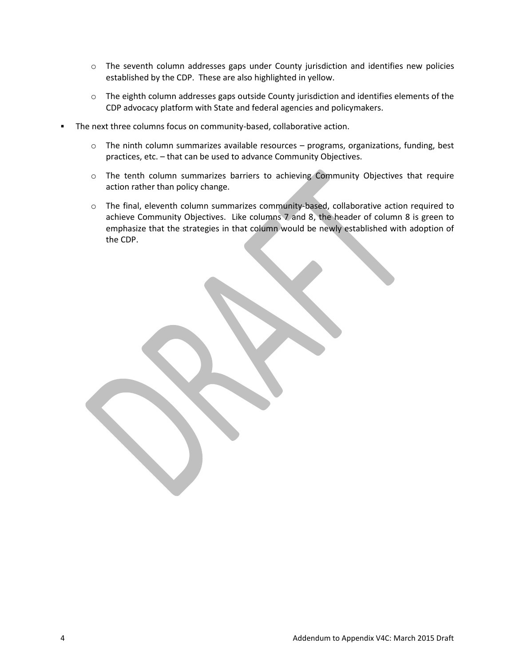- o The seventh column addresses gaps under County jurisdiction and identifies new policies established by the CDP. These are also highlighted in yellow.
- o The eighth column addresses gaps outside County jurisdiction and identifies elements of the CDP advocacy platform with State and federal agencies and policymakers.
- The next three columns focus on community-based, collaborative action.
	- $\circ$  The ninth column summarizes available resources programs, organizations, funding, best practices, etc. – that can be used to advance Community Objectives.
	- o The tenth column summarizes barriers to achieving Community Objectives that require action rather than policy change.
	- $\circ$  The final, eleventh column summarizes community-based, collaborative action required to achieve Community Objectives. Like columns 7 and 8, the header of column 8 is green to emphasize that the strategies in that column would be newly established with adoption of the CDP.

4 Addendum to Appendix V4C: March 2015 Draft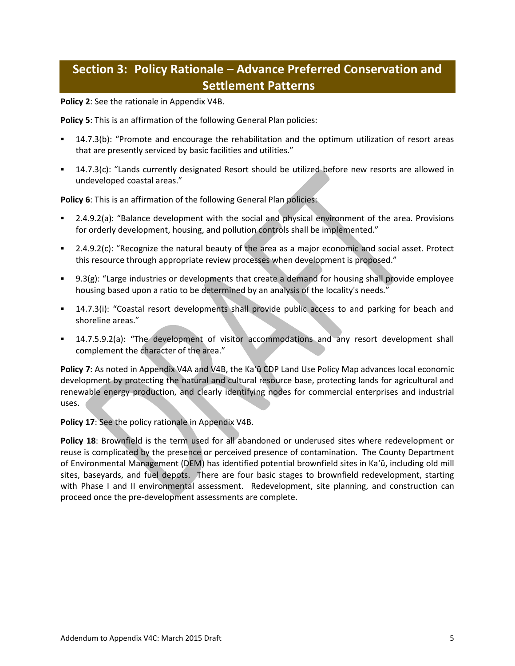### <span id="page-4-0"></span>**Section 3: Policy Rationale – Advance Preferred Conservation and Settlement Patterns**

**Policy 2**: See the rationale in Appendix V4B.

**Policy 5**: This is an affirmation of the following General Plan policies:

- 14.7.3(b): "Promote and encourage the rehabilitation and the optimum utilization of resort areas that are presently serviced by basic facilities and utilities."
- 14.7.3(c): "Lands currently designated Resort should be utilized before new resorts are allowed in undeveloped coastal areas."

**Policy 6:** This is an affirmation of the following General Plan policies:

- 2.4.9.2(a): "Balance development with the social and physical environment of the area. Provisions for orderly development, housing, and pollution controls shall be implemented."
- 2.4.9.2(c): "Recognize the natural beauty of the area as a major economic and social asset. Protect this resource through appropriate review processes when development is proposed."
- 9.3(g): "Large industries or developments that create a demand for housing shall provide employee housing based upon a ratio to be determined by an analysis of the locality's needs."
- 14.7.3(i): "Coastal resort developments shall provide public access to and parking for beach and shoreline areas."
- 14.7.5.9.2(a): "The development of visitor accommodations and any resort development shall complement the character of the area."

**Policy 7**: As noted in Appendix V4A and V4B, the Ka'ū CDP Land Use Policy Map advances local economic development by protecting the natural and cultural resource base, protecting lands for agricultural and renewable energy production, and clearly identifying nodes for commercial enterprises and industrial uses.

**Policy 17**: See the policy rationale in Appendix V4B.

**Policy 18**: Brownfield is the term used for all abandoned or underused sites where redevelopment or reuse is complicated by the presence or perceived presence of contamination. The County Department of Environmental Management (DEM) has identified potential brownfield sites in Ka'ū, including old mill sites, baseyards, and fuel depots. There are four basic stages to brownfield redevelopment, starting with Phase I and II environmental assessment. Redevelopment, site planning, and construction can proceed once the pre-development assessments are complete.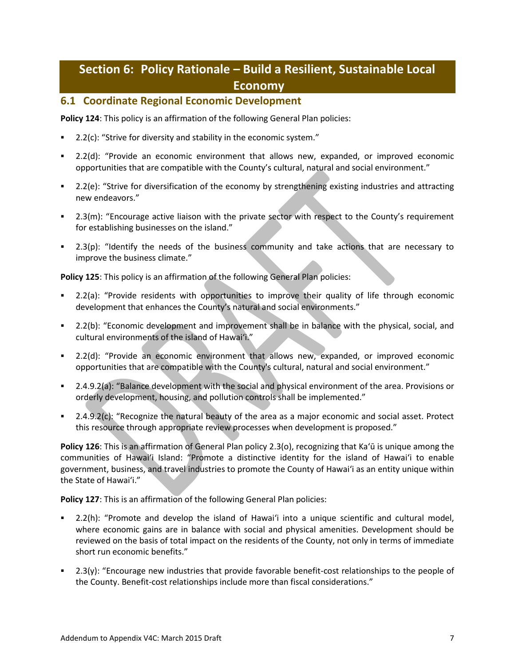## <span id="page-6-0"></span>**Section 6: Policy Rationale – Build a Resilient, Sustainable Local Economy**

#### <span id="page-6-1"></span>**6.1 Coordinate Regional Economic Development**

**Policy 124**: This policy is an affirmation of the following General Plan policies:

- 2.2(c): "Strive for diversity and stability in the economic system."
- 2.2(d): "Provide an economic environment that allows new, expanded, or improved economic opportunities that are compatible with the County's cultural, natural and social environment."
- 2.2(e): "Strive for diversification of the economy by strengthening existing industries and attracting new endeavors."
- 2.3(m): "Encourage active liaison with the private sector with respect to the County's requirement for establishing businesses on the island."
- 2.3(p): "Identify the needs of the business community and take actions that are necessary to improve the business climate."

**Policy 125**: This policy is an affirmation of the following General Plan policies:

- 2.2(a): "Provide residents with opportunities to improve their quality of life through economic development that enhances the County's natural and social environments."
- 2.2(b): "Economic development and improvement shall be in balance with the physical, social, and cultural environments of the island of Hawai'i."
- 2.2(d): "Provide an economic environment that allows new, expanded, or improved economic opportunities that are compatible with the County's cultural, natural and social environment."
- 2.4.9.2(a): "Balance development with the social and physical environment of the area. Provisions or orderly development, housing, and pollution controls shall be implemented."
- 2.4.9.2(c): "Recognize the natural beauty of the area as a major economic and social asset. Protect this resource through appropriate review processes when development is proposed."

**Policy 126**: This is an affirmation of General Plan policy 2.3(o), recognizing that Ka'ū is unique among the communities of Hawai'i Island: "Promote a distinctive identity for the island of Hawai'i to enable government, business, and travel industries to promote the County of Hawai'i as an entity unique within the State of Hawai'i."

**Policy 127**: This is an affirmation of the following General Plan policies:

- 2.2(h): "Promote and develop the island of Hawai'i into a unique scientific and cultural model, where economic gains are in balance with social and physical amenities. Development should be reviewed on the basis of total impact on the residents of the County, not only in terms of immediate short run economic benefits."
- 2.3(y): "Encourage new industries that provide favorable benefit-cost relationships to the people of the County. Benefit-cost relationships include more than fiscal considerations."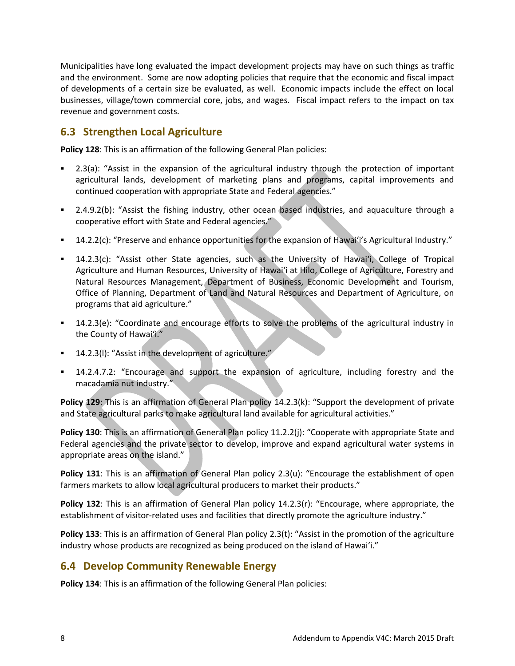Municipalities have long evaluated the impact development projects may have on such things as traffic and the environment. Some are now adopting policies that require that the economic and fiscal impact of developments of a certain size be evaluated, as well. Economic impacts include the effect on local businesses, village/town commercial core, jobs, and wages. Fiscal impact refers to the impact on tax revenue and government costs.

#### <span id="page-7-0"></span>**6.3 Strengthen Local Agriculture**

**Policy 128**: This is an affirmation of the following General Plan policies:

- 2.3(a): "Assist in the expansion of the agricultural industry through the protection of important agricultural lands, development of marketing plans and programs, capital improvements and continued cooperation with appropriate State and Federal agencies."
- 2.4.9.2(b): "Assist the fishing industry, other ocean based industries, and aquaculture through a cooperative effort with State and Federal agencies."
- 14.2.2(c): "Preserve and enhance opportunities for the expansion of Hawai'i's Agricultural Industry."
- 14.2.3(c): "Assist other State agencies, such as the University of Hawai'i, College of Tropical Agriculture and Human Resources, University of Hawai'i at Hilo, College of Agriculture, Forestry and Natural Resources Management, Department of Business, Economic Development and Tourism, Office of Planning, Department of Land and Natural Resources and Department of Agriculture, on programs that aid agriculture."
- 14.2.3(e): "Coordinate and encourage efforts to solve the problems of the agricultural industry in the County of Hawai'i."
- 14.2.3(l): "Assist in the development of agriculture."
- 14.2.4.7.2: "Encourage and support the expansion of agriculture, including forestry and the macadamia nut industry."

Policy 129: This is an affirmation of General Plan policy 14.2.3(k): "Support the development of private and State agricultural parks to make agricultural land available for agricultural activities."

**Policy 130**: This is an affirmation of General Plan policy 11.2.2(j): "Cooperate with appropriate State and Federal agencies and the private sector to develop, improve and expand agricultural water systems in appropriate areas on the island."

**Policy 131**: This is an affirmation of General Plan policy 2.3(u): "Encourage the establishment of open farmers markets to allow local agricultural producers to market their products."

**Policy 132**: This is an affirmation of General Plan policy 14.2.3(r): "Encourage, where appropriate, the establishment of visitor-related uses and facilities that directly promote the agriculture industry."

**Policy 133**: This is an affirmation of General Plan policy 2.3(t): "Assist in the promotion of the agriculture industry whose products are recognized as being produced on the island of Hawai'i."

#### <span id="page-7-1"></span>**6.4 Develop Community Renewable Energy**

**Policy 134**: This is an affirmation of the following General Plan policies: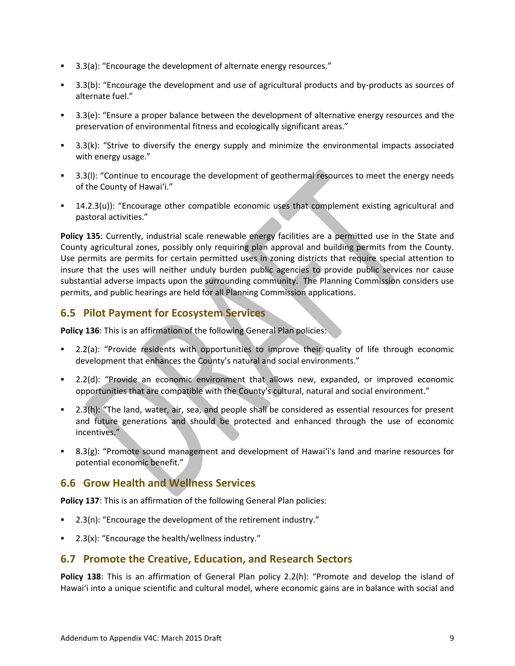- 3.3(a): "Encourage the development of alternate energy resources."
- 3.3(b): "Encourage the development and use of agricultural products and by-products as sources of alternate fuel."
- 3.3(e): "Ensure a proper balance between the development of alternative energy resources and the preservation of environmental fitness and ecologically significant areas."
- 3.3(k): "Strive to diversify the energy supply and minimize the environmental impacts associated with energy usage."
- 3.3(l): "Continue to encourage the development of geothermal resources to meet the energy needs of the County of Hawai'i."
- 14.2.3(u)): "Encourage other compatible economic uses that complement existing agricultural and pastoral activities."

Policy 135: Currently, industrial scale renewable energy facilities are a permitted use in the State and County agricultural zones, possibly only requiring plan approval and building permits from the County. Use permits are permits for certain permitted uses in zoning districts that require special attention to insure that the uses will neither unduly burden public agencies to provide public services nor cause substantial adverse impacts upon the surrounding community. The Planning Commission considers use permits, and public hearings are held for all Planning Commission applications.

#### <span id="page-8-0"></span>**6.5 Pilot Payment for Ecosystem Services**

**Policy 136**: This is an affirmation of the following General Plan policies:

- 2.2(a): "Provide residents with opportunities to improve their quality of life through economic development that enhances the County's natural and social environments."
- 2.2(d): "Provide an economic environment that allows new, expanded, or improved economic opportunities that are compatible with the County's cultural, natural and social environment."
- 2.3(h): "The land, water, air, sea, and people shall be considered as essential resources for present and future generations and should be protected and enhanced through the use of economic incentives."
- 8.3(g): "Promote sound management and development of Hawai'i's land and marine resources for potential economic benefit."

#### <span id="page-8-1"></span>**6.6 Grow Health and Wellness Services**

**Policy 137:** This is an affirmation of the following General Plan policies:

- 2.3(n): "Encourage the development of the retirement industry."
- 2.3(x): "Encourage the health/wellness industry."

#### <span id="page-8-2"></span>**6.7 Promote the Creative, Education, and Research Sectors**

**Policy 138**: This is an affirmation of General Plan policy 2.2(h): "Promote and develop the island of Hawai'i into a unique scientific and cultural model, where economic gains are in balance with social and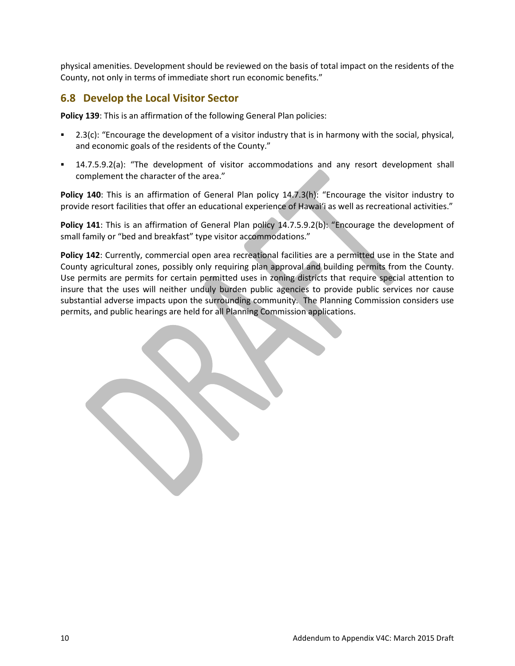physical amenities. Development should be reviewed on the basis of total impact on the residents of the County, not only in terms of immediate short run economic benefits."

#### <span id="page-9-0"></span>**6.8 Develop the Local Visitor Sector**

**Policy 139**: This is an affirmation of the following General Plan policies:

- $\blacksquare$  2.3(c): "Encourage the development of a visitor industry that is in harmony with the social, physical, and economic goals of the residents of the County."
- 14.7.5.9.2(a): "The development of visitor accommodations and any resort development shall complement the character of the area."

**Policy 140**: This is an affirmation of General Plan policy 14.7.3(h): "Encourage the visitor industry to provide resort facilities that offer an educational experience of Hawai'i as well as recreational activities."

**Policy 141**: This is an affirmation of General Plan policy 14.7.5.9.2(b): "Encourage the development of small family or "bed and breakfast" type visitor accommodations."

**Policy 142:** Currently, commercial open area recreational facilities are a permitted use in the State and County agricultural zones, possibly only requiring plan approval and building permits from the County. Use permits are permits for certain permitted uses in zoning districts that require special attention to insure that the uses will neither unduly burden public agencies to provide public services nor cause substantial adverse impacts upon the surrounding community. The Planning Commission considers use permits, and public hearings are held for all Planning Commission applications.

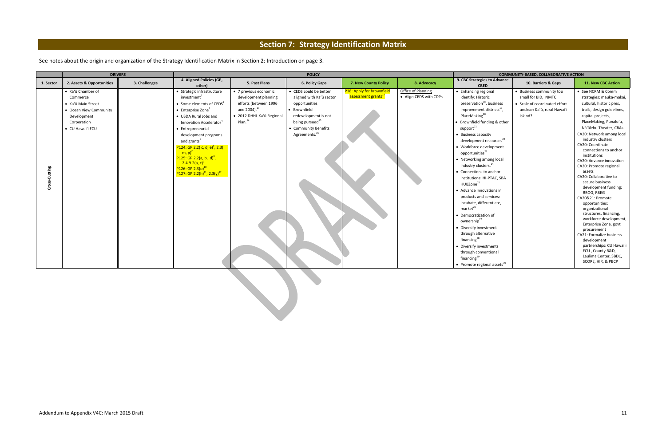# **Section 7: Strategy Identification Matrix**

<span id="page-10-0"></span>

|               | <b>DRIVERS</b>            |               |                                                                    |                           | <b>POLICY</b>               |                                 | <b>COMMUNITY-BASED, COLLABORATIVE ACTION</b> |                                                  |                               |                                         |
|---------------|---------------------------|---------------|--------------------------------------------------------------------|---------------------------|-----------------------------|---------------------------------|----------------------------------------------|--------------------------------------------------|-------------------------------|-----------------------------------------|
| 1. Sector     | 2. Assets & Opportunities | 3. Challenges | 4. Aligned Policies (GP,<br>other)                                 | 5. Past Plans             | 6. Policy Gaps              | 7. New County Policy            | 8. Advocacy                                  | 9. CBC Strategies to Advance<br><b>CBED</b>      | 10. Barriers & Gaps           | 11. New CBC Action                      |
|               | • Ka'ū Chamber of         |               | • Strategic infrastructure                                         | • 7 previous economic     | • CEDS could be better      | P18: Apply for brownfield       | Office of Planning                           | • Enhancing regional                             | • Business community too      | • See NCRM & Comm                       |
|               | Commerce                  |               | investment <sup>1</sup>                                            | development planning      | aligned with Ka'ū sector    | assessment grants <sup>17</sup> | • Align CEDS with CDPs                       | identify: Historic                               | small for BID, NMTC           | strategies: mauka-makai,                |
|               | • Ka'ū Main Street        |               | • Some elements of $CEDS2$                                         | efforts (between 1996     | opportunities               |                                 |                                              | preservation <sup>18</sup> , business            | • Scale of coordinated effort | cultural, historic pres,                |
|               | • Ocean View Community    |               | • Enterprise Zone <sup>3</sup>                                     | and 2004). $^{13}$        | · Brownfield                |                                 |                                              | improvement districts <sup>19</sup> ,            | unclear: Ka'ū, rural Hawai'i  | trails, design guidelines,              |
|               | Development               |               | • USDA Rural Jobs and                                              | · 2012 DHHL Ka'ū Regional | redevelopment is not        |                                 |                                              | PlaceMaking <sup>20</sup>                        | Island?                       | capital projects,                       |
|               | Corporation               |               | Innovation Accelerator <sup>4</sup>                                | Plan. <sup>14</sup>       | being pursued <sup>15</sup> |                                 |                                              | • Brownfield funding & other                     |                               | PlaceMaking, Punalu'u,                  |
|               | • CU Hawai'i FCU          |               | • Entrepreneurial                                                  |                           | • Community Benefits        |                                 |                                              | support <sup>21</sup>                            |                               | Nā'ālehu Theater, CBAs                  |
|               |                           |               | development programs                                               |                           | Agreements. <sup>16</sup>   |                                 |                                              | • Business capacity                              |                               | CA20: Network among local               |
|               |                           |               | and grants <sup>5</sup>                                            |                           |                             |                                 |                                              | development resources <sup>22</sup>              |                               | industry clusters<br>CA20: Coordinate   |
|               |                           |               | P124: GP 2.2(c, d, e) <sup>6</sup> , 2.3(                          |                           |                             |                                 |                                              | • Workforce development                          |                               | connections to anchor                   |
|               |                           |               | $(m, p)^7$                                                         |                           |                             |                                 |                                              | opportunities <sup>23</sup>                      |                               | institutions                            |
|               |                           |               | P125: GP 2.2(a, b, d) <sup>8</sup> ,<br>2.4.9.2(a, c) <sup>9</sup> |                           |                             |                                 |                                              | • Networking among local                         |                               | CA20: Advance innovation                |
|               |                           |               | P126: GP 2.3(0) <sup>10</sup>                                      |                           |                             |                                 |                                              | industry clusters. <sup>24</sup>                 |                               | CA20: Promote regional                  |
|               |                           |               | P127: GP 2.2(h) <sup>11</sup> , 2.3(y) <sup>12</sup>               |                           |                             |                                 |                                              | • Connections to anchor                          |                               | assets<br>CA20: Collaborative to        |
| Cross-Cutting |                           |               |                                                                    |                           |                             |                                 |                                              | institutions: HI-PTAC, SBA                       |                               | secure business                         |
|               |                           |               |                                                                    |                           |                             |                                 |                                              | HUBZone <sup>25</sup>                            |                               | development funding:                    |
|               |                           |               |                                                                    |                           |                             |                                 |                                              | • Advance innovations in                         |                               | RBOG, RBEG                              |
|               |                           |               |                                                                    |                           |                             |                                 |                                              | products and services:                           |                               | CA20&21: Promote                        |
|               |                           |               |                                                                    |                           |                             |                                 |                                              | incubate, differentiate,<br>market <sup>26</sup> |                               | opportunities:<br>organizational        |
|               |                           |               |                                                                    |                           |                             |                                 |                                              |                                                  |                               | structures, financing,                  |
|               |                           |               |                                                                    |                           |                             |                                 |                                              | • Democratization of<br>ownership <sup>27</sup>  |                               | workforce development,                  |
|               |                           |               |                                                                    |                           |                             |                                 |                                              | • Diversify investment                           |                               | Enterprise Zone, govt                   |
|               |                           |               |                                                                    |                           |                             |                                 |                                              | through alternative                              |                               | procurement                             |
|               |                           |               |                                                                    |                           |                             |                                 |                                              | financing <sup>28</sup>                          |                               | CA21: Formalize business                |
|               |                           |               |                                                                    |                           |                             |                                 |                                              | • Diversify investments                          |                               | development<br>partnerships: CU Hawai'i |
|               |                           |               |                                                                    |                           |                             |                                 |                                              | through conventional                             |                               | FCU, County R&D,                        |
|               |                           |               |                                                                    |                           |                             |                                 |                                              | financing <sup>29</sup>                          |                               | Laulima Center, SBDC,                   |
|               |                           |               |                                                                    |                           |                             |                                 |                                              | • Promote regional assets $^{30}$                |                               | SCORE, HIR, & PBCP                      |
|               |                           |               |                                                                    |                           |                             |                                 |                                              |                                                  |                               |                                         |
|               |                           |               |                                                                    |                           |                             |                                 |                                              |                                                  |                               |                                         |
|               |                           |               |                                                                    |                           |                             |                                 |                                              |                                                  |                               |                                         |
|               |                           |               |                                                                    |                           |                             |                                 |                                              |                                                  |                               |                                         |
|               |                           |               |                                                                    |                           |                             |                                 |                                              |                                                  |                               |                                         |
|               |                           |               |                                                                    |                           |                             |                                 |                                              |                                                  |                               |                                         |
|               |                           |               |                                                                    |                           |                             |                                 |                                              |                                                  |                               |                                         |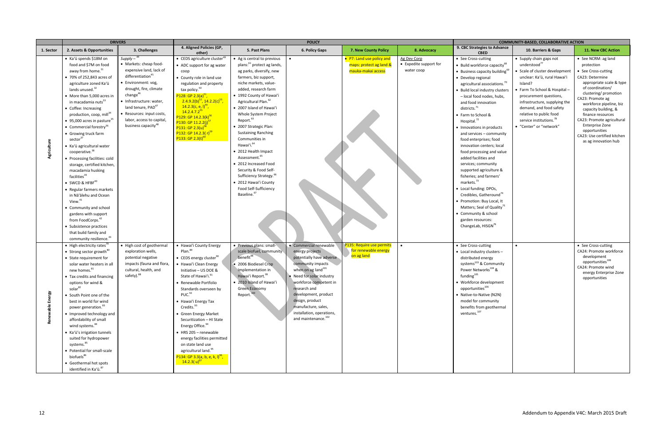|                         | <b>DRIVERS</b>                                                                                                                                                                                                                                                                                                                                                                                                                                                                                                                                                                                                                                                                                                                                                                                                                                                                                                          |                                                                                                                                                                                                                                                                                                                               |                                                                                                                                                                                                                                                                                                                                                                                                                                                                                                                                                                        |                                                                                                                                                                                                                                                                                                                                                                                                                                                                                                                                                                                                                                                         | <b>POLICY</b>                                                                                                                                                                                                                                                                                                                   |                                                                            |                                                     | <b>COMMUNITY-BASED, COLLABORATIVE ACTION</b>                                                                                                                                                                                                                                                                                                                                                                                                                                                                                                                                                                                                                                                                                                                                                                                     |                                                                                                                                                                                                                                                                                                                                                      |                                                                                                                                                                                                                                                                                                                                                                          |
|-------------------------|-------------------------------------------------------------------------------------------------------------------------------------------------------------------------------------------------------------------------------------------------------------------------------------------------------------------------------------------------------------------------------------------------------------------------------------------------------------------------------------------------------------------------------------------------------------------------------------------------------------------------------------------------------------------------------------------------------------------------------------------------------------------------------------------------------------------------------------------------------------------------------------------------------------------------|-------------------------------------------------------------------------------------------------------------------------------------------------------------------------------------------------------------------------------------------------------------------------------------------------------------------------------|------------------------------------------------------------------------------------------------------------------------------------------------------------------------------------------------------------------------------------------------------------------------------------------------------------------------------------------------------------------------------------------------------------------------------------------------------------------------------------------------------------------------------------------------------------------------|---------------------------------------------------------------------------------------------------------------------------------------------------------------------------------------------------------------------------------------------------------------------------------------------------------------------------------------------------------------------------------------------------------------------------------------------------------------------------------------------------------------------------------------------------------------------------------------------------------------------------------------------------------|---------------------------------------------------------------------------------------------------------------------------------------------------------------------------------------------------------------------------------------------------------------------------------------------------------------------------------|----------------------------------------------------------------------------|-----------------------------------------------------|----------------------------------------------------------------------------------------------------------------------------------------------------------------------------------------------------------------------------------------------------------------------------------------------------------------------------------------------------------------------------------------------------------------------------------------------------------------------------------------------------------------------------------------------------------------------------------------------------------------------------------------------------------------------------------------------------------------------------------------------------------------------------------------------------------------------------------|------------------------------------------------------------------------------------------------------------------------------------------------------------------------------------------------------------------------------------------------------------------------------------------------------------------------------------------------------|--------------------------------------------------------------------------------------------------------------------------------------------------------------------------------------------------------------------------------------------------------------------------------------------------------------------------------------------------------------------------|
| 1. Sector               | 2. Assets & Opportunities                                                                                                                                                                                                                                                                                                                                                                                                                                                                                                                                                                                                                                                                                                                                                                                                                                                                                               | 3. Challenges                                                                                                                                                                                                                                                                                                                 | 4. Aligned Policies (GP,<br>other)                                                                                                                                                                                                                                                                                                                                                                                                                                                                                                                                     | 5. Past Plans                                                                                                                                                                                                                                                                                                                                                                                                                                                                                                                                                                                                                                           | 6. Policy Gaps                                                                                                                                                                                                                                                                                                                  | 7. New County Policy                                                       | 8. Advocacy                                         | 9. CBC Strategies to Advance<br><b>CBED</b>                                                                                                                                                                                                                                                                                                                                                                                                                                                                                                                                                                                                                                                                                                                                                                                      | 10. Barriers & Gaps                                                                                                                                                                                                                                                                                                                                  | 11. New CBC Action                                                                                                                                                                                                                                                                                                                                                       |
| Agriculture             | • Ka'ū spends \$18M on<br>food and \$7M on food<br>away from home. <sup>31</sup><br>• 70% of 252,843 acres of<br>agriculture zoned Ka'ū<br>lands unused. <sup>32</sup><br>• More than 5,000 acres in<br>in macadamia nuts <sup>33</sup><br>• Coffee: Increasing<br>production, coop, mill <sup>34</sup><br>• 95,000 acres in pasture <sup>35</sup><br>• Commercial forestry <sup>36</sup><br>• Growing truck farm<br>sector <sup>37</sup><br>• Ka'ū agricultural water<br>cooperative. <sup>38</sup><br>• Processing facilities: cold<br>storage, certified kitchen,<br>macadamia husking<br>facilities <sup>39</sup><br>$\bullet$ SWCD & HFBF <sup>40</sup><br>• Regular farmers markets<br>in Nā'ālehu and Ocean<br>View. <sup>41</sup><br>• Community and school<br>gardens with support<br>from FoodCorps. <sup>42</sup><br>· Subsistence practices<br>that build family and<br>community resilience. <sup>43</sup> | Supply $ 44$<br>• Markets: cheap food-<br>expensive land, lack of<br>differentiation <sup>45</sup><br>• Environment: vog,<br>drought, fire, climate<br>change $46$<br>• Infrastructure: water,<br>land tenure, PAD <sup>47</sup><br>• Resources: input costs,<br>labor, access to capital,<br>business capacity <sup>48</sup> | • CEDS agriculture cluster $49$<br>• ADC support for ag water<br>coop<br>• County role in land use<br>regulation and property<br>tax policy. <sup>50</sup><br>P <sub>128</sub> : GP <sub>2.3(a)</sub> <sup>51</sup> ,<br>$2.4.9.2(b)^{52}$ , 14.2.2(c) <sup>53</sup> ,<br>$14.2.3(c, e, 1)^{54}$<br>$14.2.4.7.2^{55}$<br>P129: GP 14.2.3(k) <sup>56</sup><br>P130: GP 11.2.2(j) <sup>5</sup><br>$P131:GP 2.3(u)^5$<br>P132: GP 14.2.3(r) <sup>59</sup><br>$P133:GP 2.3(t)$ <sup>60</sup>                                                                               | • Ag is central to previous<br>plans: <sup>61</sup> protect ag lands,<br>ag parks, diversify, new<br>farmers, biz support,<br>niche markets, value-<br>added, research farm<br>• 1992 County of Hawai'i<br>Agricultural Plan. <sup>62</sup><br>• 2007 Island of Hawai'i<br>Whole System Project<br>Report. <sup>63</sup><br>• 2007 Strategic Plan:<br><b>Sustaining Ranching</b><br>Communities in<br>Hawai'i. <sup>64</sup><br>• 2012 Health Impact<br>Assessment. <sup>65</sup><br>• 2012 Increased Food<br>Security & Food Self-<br>Sufficiency Strategy. <sup>66</sup><br>• 2012 Hawai'i County<br>Food Self-Sufficiency<br>Baseline. <sup>67</sup> | $\bullet$                                                                                                                                                                                                                                                                                                                       | • P7: Land use policy and<br>maps: protect ag land &<br>mauka-makai access | Ag Dev Corp<br>• Expedite support for<br>water coop | • See Cross-cutting<br>• Build workforce capacity <sup>68</sup><br>• Business capacity building <sup>69</sup><br>• Develop regional<br>agricultural associations. <sup>70</sup><br>· Build local industry clusters<br>- local food nodes, hubs,<br>and food innovation<br>districts. $71$<br>● Farm to School &<br>Hospital. <sup>72</sup><br>Innovations in products<br>and services - community<br>food enterprises; food<br>innovation centers; local<br>food processing and value<br>added facilities and<br>services; community<br>supported agriculture &<br>fisheries; and farmers'<br>markets. <sup>73</sup><br>• Local funding: DPOs,<br>Credibles, Gatheround <sup>74</sup><br>• Promotion: Buy Local, It<br>Matters; Seal of Quality <sup>75</sup><br>• Community & school<br>garden resources:<br>ChangeLab, HISGN76 | • Supply chain gaps not<br>understood <sup>77</sup><br>• Scale of cluster development<br>unclear: Ka'ū, rural Hawai'i<br>Island?<br>• Farm To School & Hospital -<br>procurement questions,<br>infrastructure, supplying the<br>demand, and food safety<br>relative to public food<br>service institutions. <sup>78</sup><br>• "Center" or "network" | • See NCRM: ag land<br>protection<br>• See Cross-cutting<br>CA23: Determine<br>appropriate scale & type<br>of coordination/<br>clustering/promotion<br>CA23: Promote ag<br>workforce pipeline, biz<br>capacity building, &<br>finance resources<br>CA23: Promote agricultural<br>Enterprise Zone<br>opportunities<br>CA23: Use certified kitchen<br>as ag innovation hub |
| Energy<br>ewable<br>Ren | $\bullet$ High electricity rates <sup>79</sup><br>• Strong sector growth <sup>80</sup><br>• State requirement for<br>solar water heaters in all<br>new homes. <sup>81</sup><br>• Tax credits and financing<br>options for wind &<br>solar82<br>• South Point one of the<br>best in world for wind<br>power generation. <sup>83</sup><br>• Improved technology and<br>affordability of small<br>wind systems. <sup>84</sup><br>• Ka'ū's irrigation tunnels<br>suited for hydropower<br>systems. <sup>85</sup><br>• Potential for small-scale<br>biofuels <sup>86</sup><br>• Geothermal hot spots<br>identified in Ka'ū. <sup>87</sup>                                                                                                                                                                                                                                                                                    | • High cost of geothermal<br>exploration wells,<br>potential negative<br>impacts (fauna and flora,<br>cultural, health, and<br>safety). <sup>88</sup>                                                                                                                                                                         | • Hawai'i County Energy<br>Plan. <sup>89</sup><br>• CEDS energy cluster $90$<br>• Hawai'i Clean Energy<br>Initiative - US DOE &<br>State of Hawai'i. <sup>91</sup><br>• Renewable Portfolio<br>Standards overseen by<br>PUC. <sup>92</sup><br>• Hawai'i Energy Tax<br>Credits. <sup>93</sup><br>• Green Energy Market<br>Securitization - HI State<br>Energy Office. <sup>94</sup><br>• HRS 205 - renewable<br>energy facilities permitted<br>on state land use<br>agricultural land. <sup>95</sup><br>P134: GP 3.3(a, b, e, k, l) <sup>96</sup> ,<br>$14.2.3(u)^{97}$ | • Previous plans: small-<br>scale biofuel, community<br>benefit <sup>98</sup><br>2006 Biodiesel Crop<br>Implementation in<br>Hawai'i Report. <sup>99</sup><br>2010 Island of Hawai'i<br>Green Economy<br>Report. <sup>100</sup>                                                                                                                                                                                                                                                                                                                                                                                                                         | · Commercial renewable<br>energy projects<br>potentially have adverse<br>community impacts<br>when on ag land <sup>101</sup><br>• Need for solar industry<br>workforce competent in<br>research and<br>development, product<br>design, product<br>manufacture, sales,<br>installation, operations,<br>and maintenance. $^{102}$ | P135: Require use permits<br>for renewable energy<br>on ag land            | $\bullet$                                           | • See Cross-cutting<br>• Local industry clusters -<br>distributed energy<br>systems <sup>103</sup> & Community<br>Power Networks <sup>104</sup> &<br>funding <sup>105</sup><br>Workforce development<br>opportunities <sup>106</sup><br>• Native-to-Native (N2N)<br>model for community<br>benefits from geothermal<br>ventures. <sup>107</sup>                                                                                                                                                                                                                                                                                                                                                                                                                                                                                  | $\bullet$                                                                                                                                                                                                                                                                                                                                            | • See Cross-cutting<br>CA24: Promote workforce<br>development<br>opportunities <sup>108</sup><br>CA24: Promote wind<br>energy Enterprise Zone<br>opportunities                                                                                                                                                                                                           |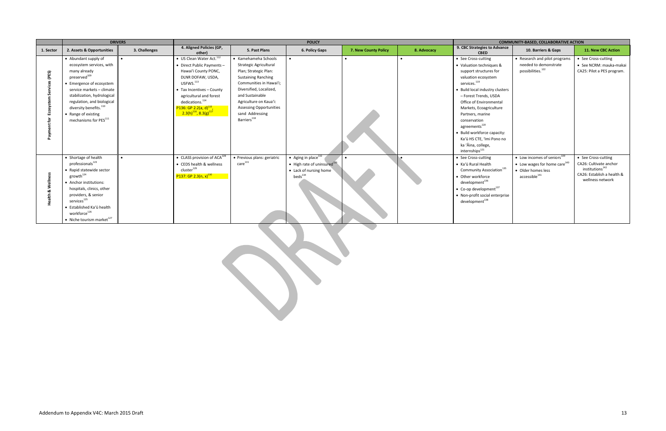|           |                                                                                                                                                                                                                                                                                                                              | <b>DRIVERS</b> |                                                                                                                                                                                                                                                                                                        |                                                                                                                                                                                                                                                                                          | <b>POLICY</b>                                                                                                              | <b>COMMUNITY-BASED, COLLABORATIVE ACTION</b> |             |                                                                                                                                                                                                                                                                                                                                                                                                                                 |                                                                                                                                                        |                                                                                                                                |
|-----------|------------------------------------------------------------------------------------------------------------------------------------------------------------------------------------------------------------------------------------------------------------------------------------------------------------------------------|----------------|--------------------------------------------------------------------------------------------------------------------------------------------------------------------------------------------------------------------------------------------------------------------------------------------------------|------------------------------------------------------------------------------------------------------------------------------------------------------------------------------------------------------------------------------------------------------------------------------------------|----------------------------------------------------------------------------------------------------------------------------|----------------------------------------------|-------------|---------------------------------------------------------------------------------------------------------------------------------------------------------------------------------------------------------------------------------------------------------------------------------------------------------------------------------------------------------------------------------------------------------------------------------|--------------------------------------------------------------------------------------------------------------------------------------------------------|--------------------------------------------------------------------------------------------------------------------------------|
| 1. Sector | 2. Assets & Opportunities                                                                                                                                                                                                                                                                                                    | 3. Challenges  | 4. Aligned Policies (GP,<br>other)                                                                                                                                                                                                                                                                     | 5. Past Plans                                                                                                                                                                                                                                                                            | 6. Policy Gaps                                                                                                             | 7. New County Policy                         | 8. Advocacy | 9. CBC Strategies to Advance<br><b>CBED</b>                                                                                                                                                                                                                                                                                                                                                                                     | 10. Barriers & Gaps                                                                                                                                    | 11. New CBC Action                                                                                                             |
| (PES)     | • Abundant supply of<br>ecosystem services, with<br>many already<br>preserved <sup>109</sup><br>• Emergence of ecosystem<br>service markets - climate<br>stabilization, hydrological<br>regulation, and biological<br>diversity benefits. <sup>110</sup><br>• Range of existing<br>mechanisms for PES <sup>111</sup>         |                | • US Clean Water Act. <sup>112</sup><br>• Direct Public Payments -<br>Hawai'i County PONC,<br>DLNR DOFAW, USDA,<br>USFWS. <sup>113</sup><br>• Tax Incentives - County<br>agricultural and forest<br>dedications. <sup>114</sup><br>P136: GP 2.2(a, d) <sup>115</sup> ,<br>$2.3(h)^{116}, 8.3(g)^{117}$ | • Kamehameha Schools<br>Strategic Agricultural<br>Plan; Strategic Plan:<br><b>Sustaining Ranching</b><br>Communities in Hawai'i:<br>Diversified, Localized,<br>and Sustainable<br>Agriculture on Kaua'i:<br><b>Assessing Opportunities</b><br>sand Addressing<br>Barriers <sup>118</sup> | $\bullet$                                                                                                                  |                                              | $\bullet$   | • See Cross-cutting<br>• Valuation techniques &<br>support structures for<br>valuation ecosystem<br>services. <sup>119</sup><br>• Build local industry clusters<br>- Forest Trends, USDA<br>Office of Environmental<br>Markets, Ecoagriculture<br>Partners, marine<br>conservation<br>agreements <sup>120</sup><br>• Build workforce capacity:<br>Ka'ū HS CTE, 'Imi Pono no<br>ka 'Āina, college,<br>internships <sup>121</sup> | • Research and pilot programs<br>needed to demonstrate<br>possibilities. <sup>122</sup>                                                                | • See Cross-cutting<br>• See NCRM: mauka-makai<br>CA25: Pilot a PES program.                                                   |
|           | • Shortage of health<br>professionals <sup>123</sup><br>• Rapid statewide sector<br>growth <sup>124</sup><br>• Anchor institutions:<br>hospitals, clinics, other<br>providers, & senior<br>services <sup>125</sup><br>• Established Ka'ū health<br>workforce <sup>126</sup><br>$\bullet$ Niche tourism market <sup>127</sup> |                | • CLASS provision of ACA <sup>128</sup><br>• CEDS health & wellness<br>cluster <sup>129</sup><br>P137: GP 2.3(n, x) <sup>130</sup>                                                                                                                                                                     | • Previous plans: geriatric<br>care <sup>131</sup>                                                                                                                                                                                                                                       | • Aging in place $132$<br>$\bullet$ High rate of uninsured <sup>133</sup><br>• Lack of nursing home<br>beds <sup>134</sup> |                                              |             | • See Cross-cutting<br>• Ka'ū Rural Health<br>Community Association <sup>135</sup><br>• Other workforce<br>development <sup>136</sup><br>$\bullet$ Co-op development <sup>137</sup><br>• Non-profit social enterprise<br>development <sup>138</sup>                                                                                                                                                                             | $\bullet$ Low incomes of seniors <sup>139</sup><br>$\bullet$ Low wages for home care <sup>140</sup><br>• Older homes less<br>accessible <sup>141</sup> | • See Cross-cutting<br>CA26: Cultivate anchor<br>institutions <sup>142</sup><br>CA26: Establish a health &<br>wellness network |

СT.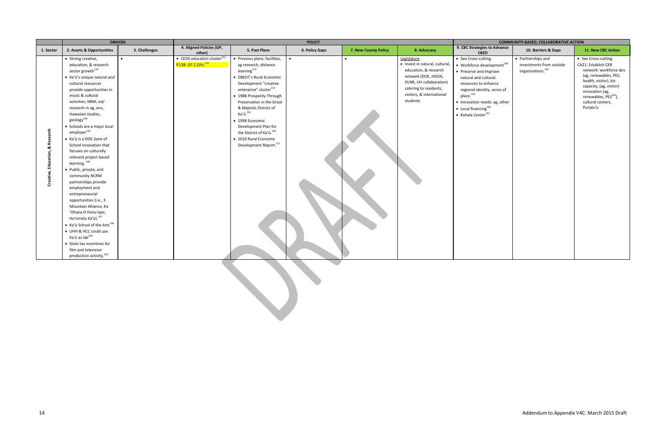|                                                 | <b>DRIVERS</b>                                                                                                                                                                                                                                                                                                                                                                                                                                                                                                                                                                                                                                                                                                                                                                                                                                                                  | <b>POLICY</b> |                                                                            |                                                                                                                                                                                                                                                                                                                                                                                                                                           |                |                      |                                                                                                                                                                                             | <b>COMMUNITY-BASED, COLLABORATIVE ACTION</b>                                                                                                                                                                                                                                                                                   |                                                                           |                                                                                                                                                                                                                                            |
|-------------------------------------------------|---------------------------------------------------------------------------------------------------------------------------------------------------------------------------------------------------------------------------------------------------------------------------------------------------------------------------------------------------------------------------------------------------------------------------------------------------------------------------------------------------------------------------------------------------------------------------------------------------------------------------------------------------------------------------------------------------------------------------------------------------------------------------------------------------------------------------------------------------------------------------------|---------------|----------------------------------------------------------------------------|-------------------------------------------------------------------------------------------------------------------------------------------------------------------------------------------------------------------------------------------------------------------------------------------------------------------------------------------------------------------------------------------------------------------------------------------|----------------|----------------------|---------------------------------------------------------------------------------------------------------------------------------------------------------------------------------------------|--------------------------------------------------------------------------------------------------------------------------------------------------------------------------------------------------------------------------------------------------------------------------------------------------------------------------------|---------------------------------------------------------------------------|--------------------------------------------------------------------------------------------------------------------------------------------------------------------------------------------------------------------------------------------|
| 1. Sector                                       | 2. Assets & Opportunities                                                                                                                                                                                                                                                                                                                                                                                                                                                                                                                                                                                                                                                                                                                                                                                                                                                       | 3. Challenges | 4. Aligned Policies (GP,<br>other)                                         | 5. Past Plans                                                                                                                                                                                                                                                                                                                                                                                                                             | 6. Policy Gaps | 7. New County Policy | 8. Advocacy                                                                                                                                                                                 | 9. CBC Strategies to Advance<br><b>CBED</b>                                                                                                                                                                                                                                                                                    | 10. Barriers & Gaps                                                       | 11. New CBC Action                                                                                                                                                                                                                         |
| Research<br><b>ವ</b><br>Education,<br>Creative, | • Strong creative,<br>education, & research<br>sector growth <sup>143</sup><br>• Ka'ū's unique natural and<br>cultural resources<br>provide opportunities in<br>music & cultural<br>activities; NRM; ed/<br>research in ag, env,<br>Hawaiian studies,<br>geology <sup>144</sup><br>· Schools are a major local<br>employer <sup>145</sup><br>• Ka'ū is a DOE Zone of<br>School Innovation that<br>focuses on culturally<br>relevant project based<br>learning. <sup>146</sup><br>• Public, private, and<br>community NCRM<br>partnerships provide<br>employment and<br>entrepreneurial<br>opportunities (i.e., 3<br>Mountain Alliance, Ka<br>'Ohana O Honu'apo,<br>Ho'omalu Ka'ū). <sup>147</sup><br>• Ka'ū School of the Arts $^{148}$<br>• UHH & HCC could use<br>Ka'ū as lab <sup>149</sup><br>• State tax incentives for<br>film and television<br>production activity, 150 | $\bullet$     | • CEDS education cluster <sup>151</sup><br>P138: GP 2.2(h). <sup>152</sup> | • Previous plans: facilities,<br>ag research, distance<br>learning <sup>153</sup><br>• DBEDT's Rural Economic<br>Development "creative<br>enterprise" cluster <sup>154</sup><br>• 1988 Prosperity Through<br>Preservation in the Great<br>& Majestic District of<br>$Ka'\bar{u}.^{155}$<br>• 1998 Economic<br>Development Plan for<br>the District of Ka'ū. <sup>156</sup><br>• 2010 Rural Economic<br>Development Report. <sup>157</sup> | $\bullet$      | $\bullet$            | Legislature<br>• Invest in natural, cultural,<br>education, & research<br>network (DOE, HDOA,<br>DLNR, UH collaboration)<br>catering to residents,<br>visitors, & international<br>students | • See Cross-cutting<br>$\bullet$ Workforce development <sup>158</sup><br>• Preserve and improve<br>natural and cultural<br>resources to enhance<br>regional identity, sense of<br>place. <sup>159</sup><br>• Innovation needs: ag, other<br>$\bullet$ Local financing <sup>160</sup><br>$\bullet$ Kohala Center <sup>161</sup> | • Partnerships and<br>investments from outside<br>organizations. $^{162}$ | • See Cross-cutting<br>CA21: Establish CER<br>network: workforce dev<br>(ag, renewables, PES,<br>health, visitor), biz<br>capacity, (ag, visitor)<br>innovation (ag,<br>renewables, PES <sup>163</sup> ),<br>cultural centers,<br>Punalu'u |
|                                                 |                                                                                                                                                                                                                                                                                                                                                                                                                                                                                                                                                                                                                                                                                                                                                                                                                                                                                 |               |                                                                            |                                                                                                                                                                                                                                                                                                                                                                                                                                           |                |                      |                                                                                                                                                                                             |                                                                                                                                                                                                                                                                                                                                |                                                                           |                                                                                                                                                                                                                                            |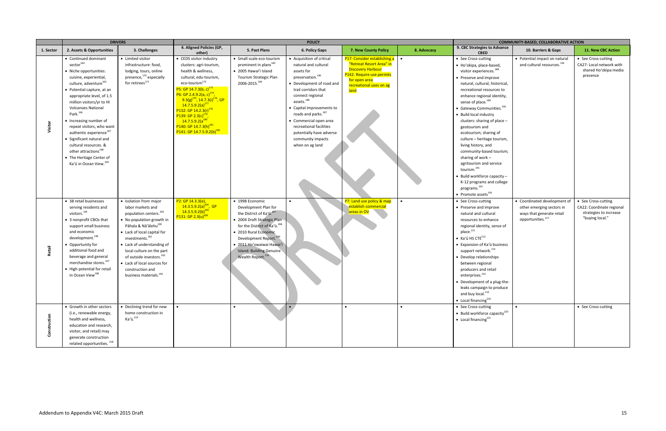|              |                                                                                                                                                                                                                                                                                                                                                                                                                                                                                                                                               | <b>DRIVERS</b>                                                                                                                                                                                                                                                                                                                                                                                               | <b>POLICY</b>                                                                                                                                                                                                                                                                                                                                                                                                                                                            |                                                                                                                                                                                                                                                                                                                     |                                                                                                                                                                                                                                                                                                                                                                                           |                                                                                                                                                                       |             | <b>COMMUNITY-BASED, COLLABORATIVE ACTION</b>                                                                                                                                                                                                                                                                                                                                                                                                                                                                                                                                                                                                                                                              |                                                                                                                         |                                                                                               |
|--------------|-----------------------------------------------------------------------------------------------------------------------------------------------------------------------------------------------------------------------------------------------------------------------------------------------------------------------------------------------------------------------------------------------------------------------------------------------------------------------------------------------------------------------------------------------|--------------------------------------------------------------------------------------------------------------------------------------------------------------------------------------------------------------------------------------------------------------------------------------------------------------------------------------------------------------------------------------------------------------|--------------------------------------------------------------------------------------------------------------------------------------------------------------------------------------------------------------------------------------------------------------------------------------------------------------------------------------------------------------------------------------------------------------------------------------------------------------------------|---------------------------------------------------------------------------------------------------------------------------------------------------------------------------------------------------------------------------------------------------------------------------------------------------------------------|-------------------------------------------------------------------------------------------------------------------------------------------------------------------------------------------------------------------------------------------------------------------------------------------------------------------------------------------------------------------------------------------|-----------------------------------------------------------------------------------------------------------------------------------------------------------------------|-------------|-----------------------------------------------------------------------------------------------------------------------------------------------------------------------------------------------------------------------------------------------------------------------------------------------------------------------------------------------------------------------------------------------------------------------------------------------------------------------------------------------------------------------------------------------------------------------------------------------------------------------------------------------------------------------------------------------------------|-------------------------------------------------------------------------------------------------------------------------|-----------------------------------------------------------------------------------------------|
| 1. Sector    | 2. Assets & Opportunities                                                                                                                                                                                                                                                                                                                                                                                                                                                                                                                     | 3. Challenges                                                                                                                                                                                                                                                                                                                                                                                                | 4. Aligned Policies (GP,<br>other)                                                                                                                                                                                                                                                                                                                                                                                                                                       | 5. Past Plans                                                                                                                                                                                                                                                                                                       | 6. Policy Gaps                                                                                                                                                                                                                                                                                                                                                                            | 7. New County Policy                                                                                                                                                  | 8. Advocacy | 9. CBC Strategies to Advance<br><b>CBED</b>                                                                                                                                                                                                                                                                                                                                                                                                                                                                                                                                                                                                                                                               | 10. Barriers & Gaps                                                                                                     | 11. New CBC Action                                                                            |
| Visitor      | • Continued dominant<br>sector <sup>164</sup><br>· Niche opportunities:<br>cuisine, experiential,<br>culture, adventure <sup>165</sup><br>· Potential capture, at an<br>appropriate level, of 1.5<br>million visitors/yr to HI<br><b>Volcanoes National</b><br>Park. <sup>166</sup><br>• Increasing number of<br>repeat visitors, who want<br>authentic experience <sup>167</sup><br>· Significant natural and<br>cultural resources. &<br>other attractions <sup>168</sup><br>• The Heritage Center of<br>Ka'ū in Ocean View. <sup>169</sup> | • Limited visitor<br>infrastructure: food,<br>lodging, tours, online<br>presence, <sup>170</sup> especially<br>for retirees <sup>171</sup>                                                                                                                                                                                                                                                                   | • CEDS visitor industry<br>clusters: agri-tourism,<br>health & wellness.<br>cultural, edu-tourism,<br>eco-tourism <sup>172</sup><br>P5: GP 14.7.3(b, c) <sup>173</sup><br>P6: GP 2.4.9.2(a, c) <sup>174</sup> ,<br>$9.3(g)^{175}$ , 14.7.3(i) <sup>176</sup> , GP<br>$14.7.5.9.2(a)^{177}$<br>P132: GP 14.2.3(r) <sup>178</sup><br>P139: GP 2.3(c) <sup>179</sup><br>$14.7.5.9.2(a^{180})$<br>P140: GP 14.7.3(h) <sup>181</sup><br>P141: GP 14.7.5.9.2(b) <sup>182</sup> | • Small-scale eco-tourism<br>prominent in plans <sup>183</sup><br>• 2005 Hawai'i Island<br><b>Tourism Strategic Plan</b><br>2006-2015.184                                                                                                                                                                           | • Acquisition of critical<br>natural and cultural<br>assets for<br>preservation. <sup>185</sup><br>Development of road and<br>trail corridors that<br>connect regional<br>assets. <sup>186</sup><br>• Capital improvements to<br>roads and parks. <sup>187</sup><br>• Commercial open area<br>recreational facilities<br>potentially have adverse<br>community impacts<br>when on ag land | P17: Consider establishing a<br>"Retreat Resort Area" in<br><b>Discovery Harbour</b><br>P142: Require use permits<br>for open area<br>recreational uses on ag<br>land | ı.          | • See Cross-cutting<br>• Ho'okipa, place-based,<br>visitor experiences. <sup>188</sup><br>• Preserve and improve<br>natural, cultural, historical,<br>recreational resources to<br>enhance regional identity,<br>sense of place. <sup>189</sup><br>• Gateway Communities. <sup>190</sup><br>• Build local industry<br>clusters: sharing of place -<br>geotourism and<br>ecotourism; sharing of<br>culture - heritage tourism,<br>living history, and<br>community-based tourism;<br>sharing of work $-$<br>agritourism and service<br>tourism. <sup>191</sup><br>$\bullet$ Build workforce capacity -<br>K-12 programs and college<br>programs. <sup>192</sup><br>$\bullet$ Promote assets <sup>193</sup> | • Potential impact on natural<br>and cultural resources. <sup>194</sup>                                                 | • See Cross-cutting<br>CA27: Local network with<br>shared Ho'okipa media<br>presence          |
| Retail       | • 38 retail businesses<br>serving residents and<br>visitors. <sup>195</sup><br>• 3 nonprofit CBOs that<br>support small business<br>and economic<br>development. <sup>196</sup><br>Opportunity for<br>additional food and<br>beverage and general<br>merchandise stores. <sup>197</sup><br>• High potential for retail<br>in Ocean View <sup>198</sup>                                                                                                                                                                                        | • Isolation from major<br>labor markets and<br>population centers. <sup>199</sup><br>• No population growth in<br>Pāhala & Nā'ālehu <sup>200</sup><br>• Lack of local capital for<br>investments. <sup>201</sup><br>• Lack of understanding of<br>local culture on the part<br>of outside investors. <sup>202</sup><br>• Lack of local sources for<br>construction and<br>business materials. <sup>203</sup> | P2: GP 14.3.3(e),<br>$14.3.5.9.2(a)^{204}$ , GP<br>$14.3.5.9.2(b)^{20}$<br>P131: GP 2.3(u) <sup>206</sup>                                                                                                                                                                                                                                                                                                                                                                | • 1998 Economic<br>Development Plan for<br>the District of Ka'ū. <sup>207</sup><br>· 2004 Draft Strategic Plan<br>for the District of Ka'ū. <sup>208</sup><br>• 2010 Rural Economic<br>Development Report. <sup>209</sup><br>· 2011 Ho'owaiwai Hawai'i<br>Island: Building Genuine<br>Wealth Report. <sup>210</sup> | $\bullet$                                                                                                                                                                                                                                                                                                                                                                                 | P7: Land use policy & map<br>establish commercial<br>areas in OV                                                                                                      |             | • See Cross-cutting<br>• Preserve and improve<br>natural and cultural<br>resources to enhance<br>regional identity, sense of<br>place. <sup>211</sup><br>• Ka'ū HS $CTE^{212}$<br>• Expansion of Ka'ū business<br>support network. <sup>213</sup><br>• Develop relationships<br>between regional<br>producers and retail<br>enterprises. <sup>214</sup><br>• Development of a plug-the-<br>leaks campaign to produce<br>and buy local. <sup>215</sup><br>$\bullet$ Local financing <sup>216</sup>                                                                                                                                                                                                         | • Coordinated development of<br>other emerging sectors in<br>ways that generate retail<br>opportunities. <sup>217</sup> | • See Cross-cutting<br>CA22: Coordinate regional<br>strategies to increase<br>"buying local." |
| Construction | • Growth in other sectors<br>(i.e., renewable energy,<br>health and wellness,<br>education and research,<br>visitor, and retail) may<br>generate construction<br>related opportunities. <sup>218</sup>                                                                                                                                                                                                                                                                                                                                        | • Declining trend for new<br>home construction in<br>Ka'ū. <sup>219</sup>                                                                                                                                                                                                                                                                                                                                    | $\bullet$                                                                                                                                                                                                                                                                                                                                                                                                                                                                | $\bullet$                                                                                                                                                                                                                                                                                                           | $\bullet$                                                                                                                                                                                                                                                                                                                                                                                 | $\bullet$                                                                                                                                                             | $\bullet$   | • See Cross-cutting<br>$\bullet$ Build workforce capacity <sup>220</sup><br>$\bullet$ Local financing <sup>221</sup>                                                                                                                                                                                                                                                                                                                                                                                                                                                                                                                                                                                      |                                                                                                                         | • See Cross-cutting                                                                           |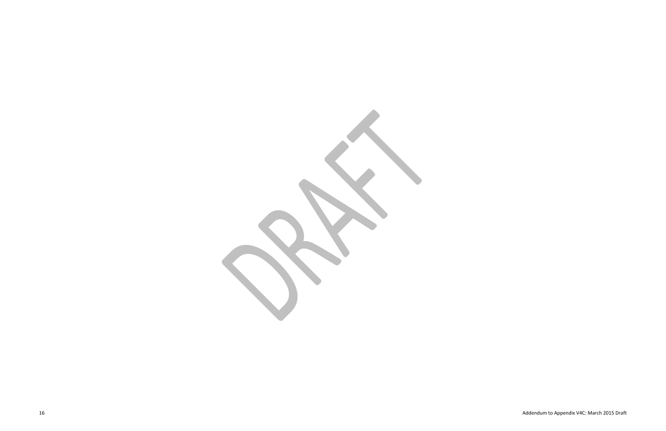Addendum to Appendix V4C: March 2015 Draft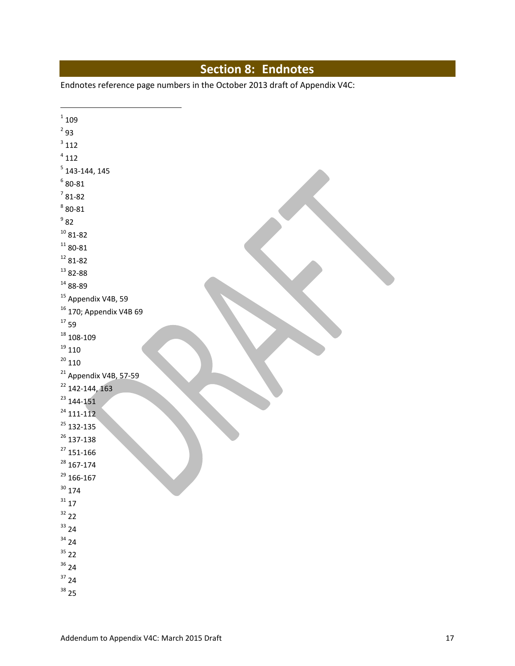### **Section 8: Endnotes**

<span id="page-16-0"></span>Endnotes reference page numbers in the October 2013 draft of Appendix V4C:

| $^{\rm 1}$ 109                    |
|-----------------------------------|
| 293                               |
| $3$ 112                           |
| $^4$ 112 $\,$                     |
| $5$ 143-144, 145                  |
| $^{\rm 6}$ 80-81                  |
| $^7$ 81-82                        |
| $880 - 81$                        |
| $^9$ 82                           |
| $^{\rm 10}$ 81-82                 |
| $^{\rm 11}$ 80-81                 |
| $^{\rm 12}$ 81-82                 |
| $^{13}$ 82-88                     |
| $^{\rm 14}$ 88-89                 |
| <sup>15</sup> Appendix V4B, 59    |
| $^{16}$ 170; Appendix V4B 69      |
| 1759                              |
| $^{\rm 18}$ 108-109               |
| $^{\rm 19}$ 110                   |
| $20$ 110                          |
| <sup>21</sup> Appendix V4B, 57-59 |
| $22$ 142-144, 163                 |
| $23$ 144-151                      |
| $^{24}$ 111-112                   |
| $25$ 132-135                      |
| $26$ 137-138                      |
| $27$ 151-166                      |
| $28$ 167-174                      |
| $29$ 166-167                      |
| $^{\rm 30}$ 174                   |
| $^{\rm 31}$ 17                    |
| $32\,22$                          |
| $33 \ 24$                         |
| $34$ 24                           |
| $35$ 22                           |
| $36$ 24                           |
| $37$ 24                           |
| $^\mathrm{38}$ 25                 |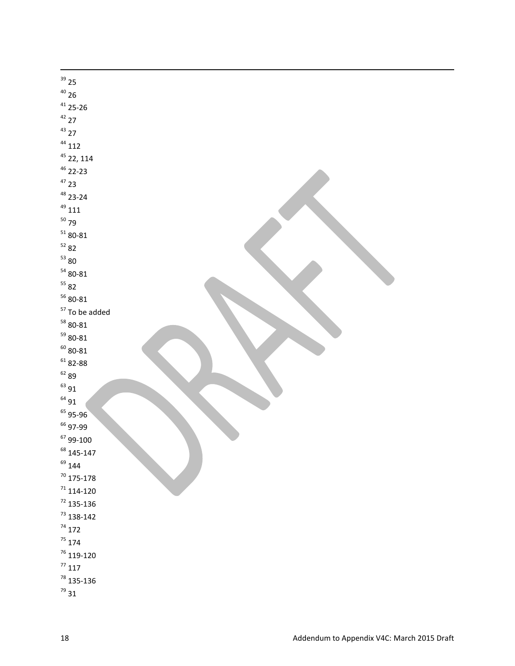| $39$ 25                          |
|----------------------------------|
| $40$ 26                          |
| $41$ 25-26                       |
| $42$ 27                          |
| $43$ 27                          |
| $44$ 112                         |
| $^{\rm 45}$ 22, 114              |
| $46$ 22-23                       |
| $47$ 23                          |
| $48$ 23-24                       |
| $49$ 111                         |
| $50$ 79                          |
| $^{\scriptscriptstyle 51}$ 80-81 |
| 5282                             |
| $^{\rm 53}$ 80                   |
| $^\mathrm{54}$ 80-81             |
| $^{\rm 55}$ 82                   |
| $56$ 80-81                       |
| $57$ To be added                 |
| $^\mathrm{58}$ 80-81             |
| $^{\rm 59}$ 80-81                |
| $^{\rm 60}$ 80-81                |
| $6182 - 88$                      |
| 6289                             |
| 6391                             |
| $^{64}$ 91                       |
| $6595-96$                        |
| $^{66}$ 97-99                    |
| $67$ 99-100                      |
| $^{\rm 68}$ 145-147              |
| $69$ 144                         |
| $^{70}$ 175-178                  |
| $^{71}$ 114-120                  |
| $72$ 135-136                     |
| $^{73}$ 138-142                  |
| $^{74}$ 172                      |
| $75$ 174                         |
| $119-120$                        |
| $^{77}$ 117                      |
| $^{78}$ 135-136                  |
| $^{79}$ 31                       |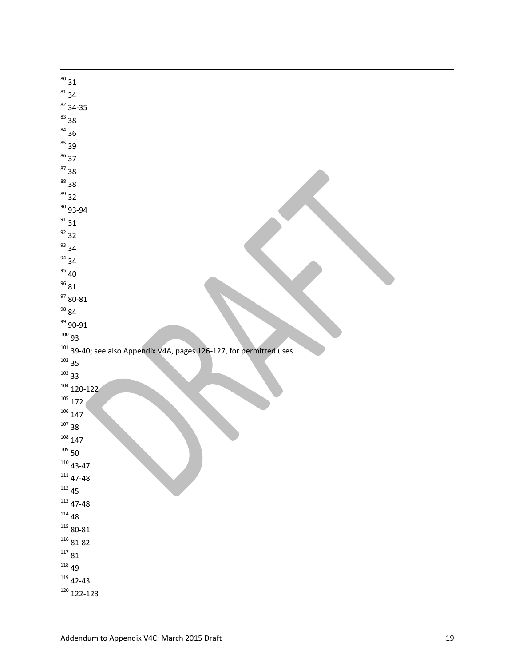| $^{\rm 80}$ 31                                                                 |
|--------------------------------------------------------------------------------|
| $81$ 34                                                                        |
| $82$ 34-35                                                                     |
| $83$ 38                                                                        |
| $84$ 36                                                                        |
| $85$ 39                                                                        |
| $86$ 37                                                                        |
| 8738                                                                           |
| $^{\rm 88}$ 38                                                                 |
| $89$ 32                                                                        |
| $90$ 93-94                                                                     |
| $^{91}$ 31                                                                     |
| $92$ 32                                                                        |
| $93\,34$                                                                       |
| $^{94}$ 34                                                                     |
| $^{\rm 95}$ 40                                                                 |
| 9681                                                                           |
| $^\mathrm{97}$ 80-81                                                           |
| 98884                                                                          |
| $99990 - 91$                                                                   |
| 10093                                                                          |
| <sup>101</sup> 39-40; see also Appendix V4A, pages 126-127, for permitted uses |
| $102$ 35                                                                       |
| $103$ 33                                                                       |
| $104$ 120-122                                                                  |
| $105$ 172                                                                      |
| $^{\rm 106}$ 147                                                               |
| $107$ 38                                                                       |
| $108$ 147                                                                      |
| $^{109}$ 50 $\,$                                                               |
| $^{\rm 110}$ 43-47<br>$^{\rm 111}$ 47-48                                       |
| $^\mathrm{112}$ 45                                                             |
| $^\mathrm{113}$ 47-48                                                          |
| $^\mathrm{114}$ 48                                                             |
| $^\mathrm{115}$ 80-81                                                          |
| $^\mathrm{116}$ 81-82                                                          |
| $^\mathrm{117}$ 81                                                             |
| 11849                                                                          |
| $^{\rm 119}$ 42-43                                                             |
| $^{\rm 120}$ 122-123                                                           |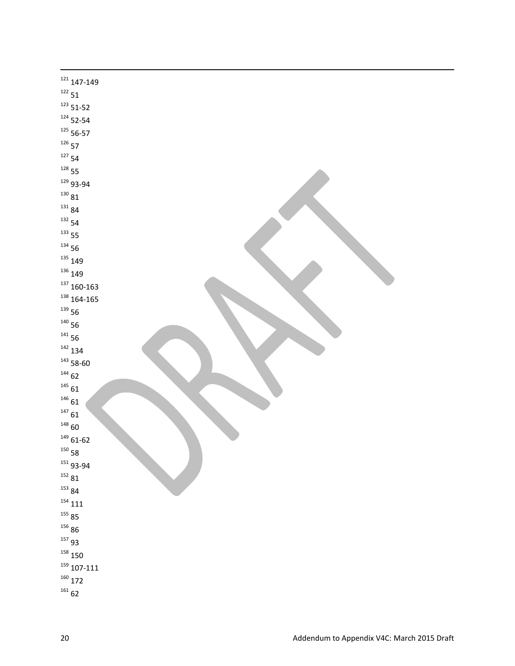| $^{\rm 121}$ 147-149 |  |
|----------------------|--|
| $122$ 51             |  |
| $123$ 51-52          |  |
| $124$ 52-54          |  |
| $^{125}$ 56-57 $\,$  |  |
| $126$ 57             |  |
| $127$ 54             |  |
| $^\mathrm{128}$ 55   |  |
| $^{129}$ 93-94       |  |
| $^\mathrm{130}$ 81   |  |
| $^\mathrm{131}$ 84   |  |
| $132$ 54             |  |
| $133$ 55             |  |
| $134\,$ 56           |  |
| $135$ 149            |  |
| $136$ 149            |  |
| $^{\rm 137}$ 160-163 |  |
| $^{\rm 138}$ 164-165 |  |
| $139$ 56             |  |
| $140$ 56             |  |
| $^\mathrm{141}$ 56   |  |
| $^{\rm 142}$ 134     |  |
| $^{\rm 143}$ 58-60   |  |
| 14462                |  |
| 14561                |  |
| $146$ 61             |  |
| 14761                |  |
| $148\,60$            |  |
| $149$ 61-62          |  |
| $^\mathrm{150}$ 58   |  |
| $151$ 93-94          |  |
| 15281                |  |
| $^\mathrm{153}$ 84   |  |
| $154$ 111            |  |
| $^\mathrm{155}$ 85   |  |
| $^\mathrm{156}$ 86   |  |
| $157$ 93             |  |
| $^\mathrm{158}$ 150  |  |
| $^{\rm 159}$ 107-111 |  |
| $^\mathrm{160}$ 172  |  |
| $161$ 62             |  |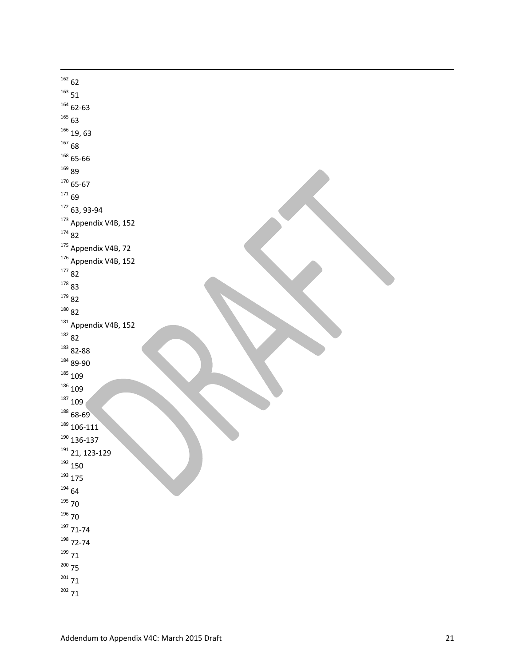| $162$ 62                   |
|----------------------------|
| $163$ 51                   |
| $164$ 62-63                |
| $165$ 63                   |
| $^{\rm 166}$ 19, 63        |
| $^\mathrm{167}$ 68         |
| $^{\rm 168}$ 65-66         |
| 16989                      |
| $170$ 65-67                |
| 17169                      |
| $172$ 63, 93-94            |
| $^{173}$ Appendix V4B, 152 |
| 17482                      |
| $^{175}$ Appendix V4B, 72  |
| $^{176}$ Appendix V4B, 152 |
| 17782                      |
| 178883                     |
| 17982                      |
| 18082                      |
| $^{181}$ Appendix V4B, 152 |
| 18282                      |
| $^{\rm 183}$ 82-88         |
| $^{\rm 184}$ 89-90         |
| $185$ 109                  |
| $186$ 109                  |
| $^{\rm 187}$ 109           |
| 188669                     |
| $189$ 106-111              |
| $190$ 136-137              |
| $^{191}$ 21, 123-129       |
| $192$ 150                  |
| $193$ 175                  |
| $194$ 64                   |
| $195$ 70                   |
| $196$ 70                   |
| $197$ 71-74                |
| $198$ 72-74                |
| $199$ 71                   |
| $200$ 75                   |
| $201$ 71                   |
| $202$ 71                   |